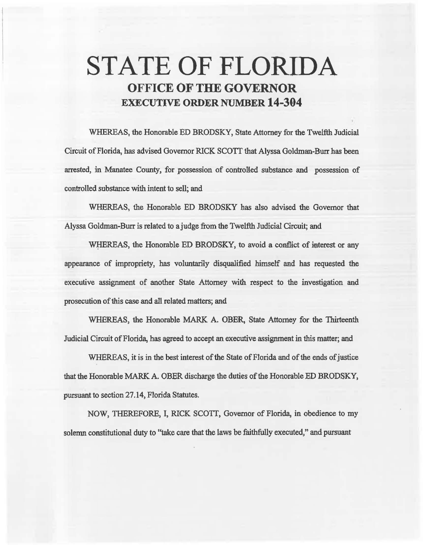# STATE OF FLORIDA OFFICE OF THE GOVERNOR EXECUTIVE ORDER NUMBER 14-394

WHEREAS, the Honorable ED BRODSKY, State Attorney for the Twelfth Judicial Circuit of Florida, has advised Governor RICK SCOTT that Alyssa Goldman-Burr has been arrested, in Manatee County, for possession of controlled sabstance and possession of controlled substance with intent to sell; and

WHEREAS, the Honorable ED BRODSKY has also advised the Governor that Alyssa Goldman-Burr is related to a judge from the Twelfth Judicial Circuit; and

WHEREAS, the Honorable ED BRODSKY, to avoid a conflict of interest or any appearance of impropriety, bas voluntanly disqualified himself and has requested the executive assignment of another State Attorney with respect to the investigation and prosecution of this case and all related matters; and

WHEREAS, the Honorable MARK A. OBER, State Attorney for the Thirteenth. Judicial Circuit of Florida, has agreed to accept an executive assignment in this matter; and

WHEREAS, it is in the best interest of the State of Florida and of the ends of justice that the Honorable MARK A. OBER discharge the duties of the Honorable ED BRODSKY, pursuant to section 27.14, Florida Statutes.

NOW, THEREFORE, I, RICK SCOTI, Governor of Florida, in obedience to my solemn constitutional duty to "take care that the laws be faithfully executed," and pursuant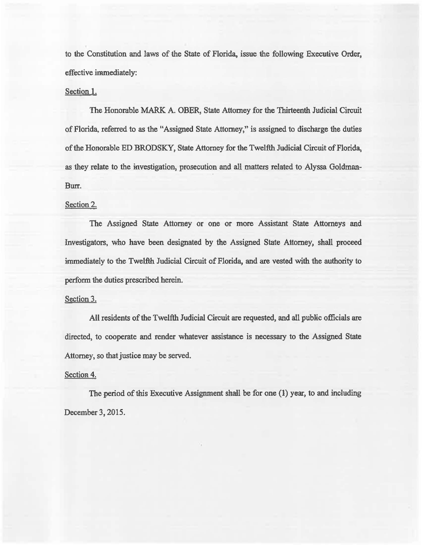to the Constitution and laws of the State of Florida, issue the following Executive Order, effective immediately:

## Section 1.

The Honorable MARK A. OBER, State Attorney for the Thirteenth Judicial Circuit of Florida, referred to as the "Assigned State Attorney," is assigned to discharge the duties of the Honorable ED BRODSKY, State Attorney for the Twelfth Judicial Circuit of Florida, as they relate to the investigation, prosecution and all matters related to Alyssa Goldman-Burr.

### Section 2.

The Assigned State Attorney or one or more Assistant State Attorneys and Investigators, who have been designated by the Assigned State Attorney, shall proceed immediately to the Twelfih Judicial Circuit of Florida, and are vested with the authority to perform the duties prescribed herein.

### Section 3.

AU residents of the Twelfth Judicial Circuit are requested, and all public officials are directed, to cooperate and render whatever assistance is necessary to the Assigned State Attorney, so that justice may be served.

### Section 4.

The period of this Executive Assignment shall be for one (1) year, to and including December 3, 2015.